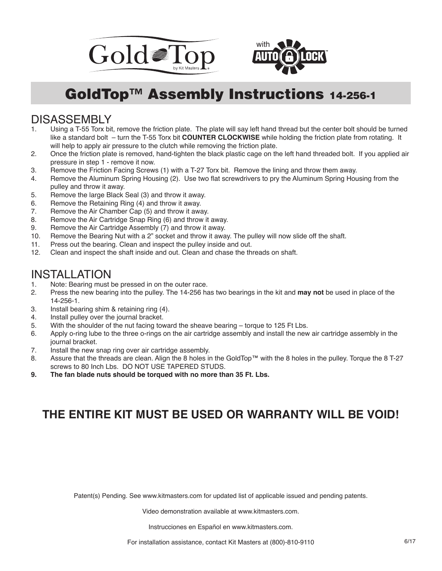



## GoldTop™ Assembly Instructions 14-256-1

## DISASSEMBLY<br>1. Using a T-55 Torx bit

- Using a T-55 Torx bit, remove the friction plate. The plate will say left hand thread but the center bolt should be turned like a standard bolt – turn the T-55 Torx bit **COUNTER CLOCKWISE** while holding the friction plate from rotating. It will help to apply air pressure to the clutch while removing the friction plate.
- 2. Once the friction plate is removed, hand-tighten the black plastic cage on the left hand threaded bolt. If you applied air pressure in step 1 - remove it now.
- 3. Remove the Friction Facing Screws (1) with a T-27 Torx bit. Remove the lining and throw them away.
- 4. Remove the Aluminum Spring Housing (2). Use two flat screwdrivers to pry the Aluminum Spring Housing from the pulley and throw it away.
- 5. Remove the large Black Seal (3) and throw it away.
- 6. Remove the Retaining Ring (4) and throw it away.<br>7. Remove the Air Chamber Cap (5) and throw it awa
- Remove the Air Chamber Cap (5) and throw it away.
- 8. Remove the Air Cartridge Snap Ring (6) and throw it away.
- 9. Remove the Air Cartridge Assembly (7) and throw it away.
- 10. Remove the Bearing Nut with a 2" socket and throw it away. The pulley will now slide off the shaft.
- 11. Press out the bearing. Clean and inspect the pulley inside and out.<br>12. Clean and inspect the shaft inside and out. Clean and chase the threat
- Clean and inspect the shaft inside and out. Clean and chase the threads on shaft.

## **INSTALLATION**<br>1. Note: Bearing must b

- 1. Note: Bearing must be pressed in on the outer race.<br>2. Press the new bearing into the pulley. The 14-256 has
- 2. Press the new bearing into the pulley. The 14-256 has two bearings in the kit and **may not** be used in place of the 14-256-1.
- 3. Install bearing shim & retaining ring (4).
- 4. Install pulley over the journal bracket.
- 5. With the shoulder of the nut facing toward the sheave bearing torque to 125 Ft Lbs.
- 6. Apply o-ring lube to the three o-rings on the air cartridge assembly and install the new air cartridge assembly in the journal bracket.
- 7. Install the new snap ring over air cartridge assembly.
- 8. Assure that the threads are clean. Align the 8 holes in the GoldTop™ with the 8 holes in the pulley. Torque the 8 T-27 screws to 80 Inch Lbs. DO NOT USE TAPERED STUDS.
- **9. The fan blade nuts should be torqued with no more than 35 Ft. Lbs.**

## **THE ENTIRE KIT MUST BE USED OR WARRANTY WILL BE VOID!**

Patent(s) Pending. See www.kitmasters.com for updated list of applicable issued and pending patents.

Video demonstration available at www.kitmasters.com.

Instrucciones en Español en www.kitmasters.com.